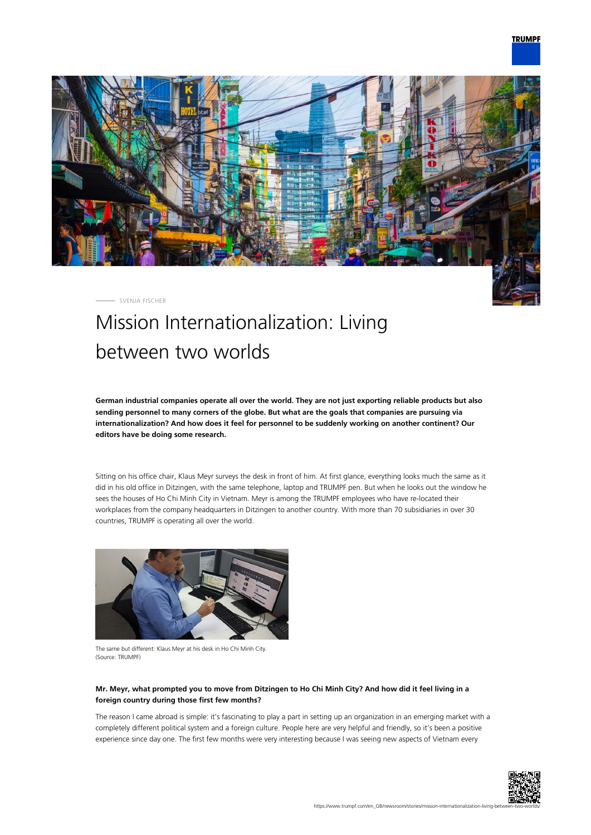

SVENJA FISCHER

# Mission Internationalization: Living between two worlds

**German industrial companies operate all over the world. They are not just exporting reliable products but also sending personnel to many corners of the globe. But what are the goals that companies are pursuing via internationalization? And how does it feel for personnel to be suddenly working on another continent? Our editors have be doing some research.**

Sitting on his office chair, Klaus Meyr surveys the desk in front of him. At first glance, everything looks much the same as it did in his old office in Ditzingen, with the same telephone, laptop and TRUMPF pen. But when he looks out the window he sees the houses of Ho Chi Minh City in Vietnam. Meyr is among the TRUMPF employees who have re-located their workplaces from the company headquarters in Ditzingen to another country. With more than 70 subsidiaries in over 30 countries, TRUMPF is operating all over the world.



The same but different: Klaus Meyr at his desk in Ho Chi Minh City. (Source: TRUMPF)

## **Mr. Meyr, what prompted you to move from Ditzingen to Ho Chi Minh City? And how did it feel living in a foreign country during those first few months?**

The reason I came abroad is simple: it's fascinating to play a part in setting up an organization in an emerging market with a completely different political system and a foreign culture. People here are very helpful and friendly, so it's been a positive experience since day one. The first few months were very interesting because I was seeing new aspects of Vietnam every